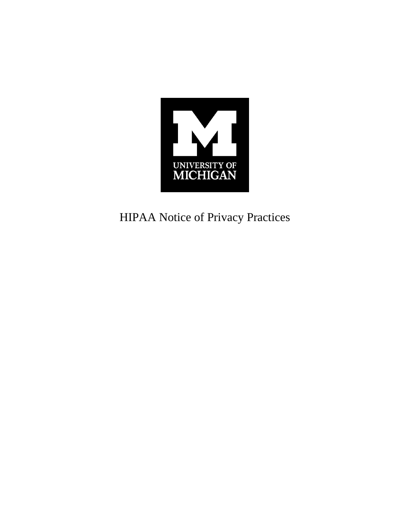

HIPAA Notice of Privacy Practices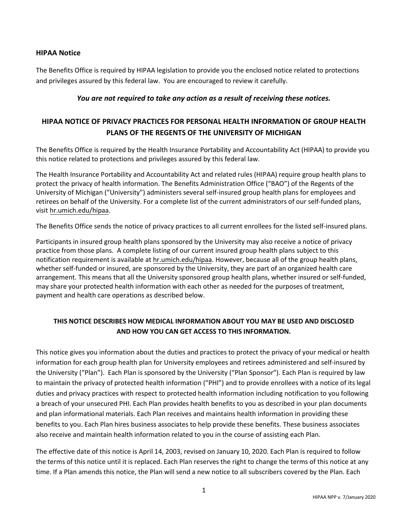## **HIPAA Notice**

The Benefits Office is required by HIPAA legislation to provide you the enclosed notice related to protections and privileges assured by this federal law. You are encouraged to review it carefully.

### *You are not required to take any action as a result of receiving these notices.*

# **HIPAA NOTICE OF PRIVACY PRACTICES FOR PERSONAL HEALTH INFORMATION OF GROUP HEALTH PLANS OF THE REGENTS OF THE UNIVERSITY OF MICHIGAN**

The Benefits Office is required by the Health Insurance Portability and Accountability Act (HIPAA) to provide you this notice related to protections and privileges assured by this federal law.

The Health Insurance Portability and Accountability Act and related rules (HIPAA) require group health plans to protect the privacy of health information. The Benefits Administration Office ("BAO") of the Regents of the University of Michigan ("University") administers several self-insured group health plans for employees and retirees on behalf of the University. For a complete list of the current administrators of our self-funded plans, visit hr.umich.edu/hipaa.

The Benefits Office sends the notice of privacy practices to all current enrollees for the listed self-insured plans.

Participants in insured group health plans sponsored by the University may also receive a notice of privacy practice from those plans. A complete listing of our current insured group health plans subject to this notification requirement is available at hr.umich.edu/hipaa. However, because all of the group health plans, whether self-funded or insured, are sponsored by the University, they are part of an organized health care arrangement. This means that all the University sponsored group health plans, whether insured or self-funded, may share your protected health information with each other as needed for the purposes of treatment, payment and health care operations as described below.

# **THIS NOTICE DESCRIBES HOW MEDICAL INFORMATION ABOUT YOU MAY BE USED AND DISCLOSED AND HOW YOU CAN GET ACCESS TO THIS INFORMATION.**

This notice gives you information about the duties and practices to protect the privacy of your medical or health information for each group health plan for University employees and retirees administered and self-insured by the University ("Plan"). Each Plan is sponsored by the University ("Plan Sponsor"). Each Plan is required by law to maintain the privacy of protected health information ("PHI") and to provide enrollees with a notice of its legal duties and privacy practices with respect to protected health information including notification to you following a breach of your unsecured PHI. Each Plan provides health benefits to you as described in your plan documents and plan informational materials. Each Plan receives and maintains health information in providing these benefits to you. Each Plan hires business associates to help provide these benefits. These business associates also receive and maintain health information related to you in the course of assisting each Plan.

The effective date of this notice is April 14, 2003, revised on January 10, 2020. Each Plan is required to follow the terms of this notice until it is replaced. Each Plan reserves the right to change the terms of this notice at any time. If a Plan amends this notice, the Plan will send a new notice to all subscribers covered by the Plan. Each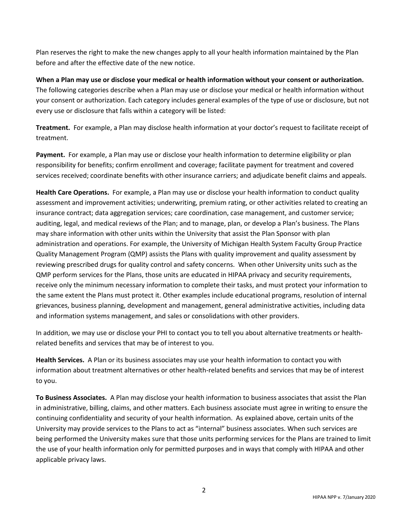Plan reserves the right to make the new changes apply to all your health information maintained by the Plan before and after the effective date of the new notice.

**When a Plan may use or disclose your medical or health information without your consent or authorization.**  The following categories describe when a Plan may use or disclose your medical or health information without your consent or authorization. Each category includes general examples of the type of use or disclosure, but not every use or disclosure that falls within a category will be listed:

**Treatment.** For example, a Plan may disclose health information at your doctor's request to facilitate receipt of treatment.

**Payment.** For example, a Plan may use or disclose your health information to determine eligibility or plan responsibility for benefits; confirm enrollment and coverage; facilitate payment for treatment and covered services received; coordinate benefits with other insurance carriers; and adjudicate benefit claims and appeals.

**Health Care Operations.** For example, a Plan may use or disclose your health information to conduct quality assessment and improvement activities; underwriting, premium rating, or other activities related to creating an insurance contract; data aggregation services; care coordination, case management, and customer service; auditing, legal, and medical reviews of the Plan; and to manage, plan, or develop a Plan's business. The Plans may share information with other units within the University that assist the Plan Sponsor with plan administration and operations. For example, the University of Michigan Health System Faculty Group Practice Quality Management Program (QMP) assists the Plans with quality improvement and quality assessment by reviewing prescribed drugs for quality control and safety concerns. When other University units such as the QMP perform services for the Plans, those units are educated in HIPAA privacy and security requirements, receive only the minimum necessary information to complete their tasks, and must protect your information to the same extent the Plans must protect it. Other examples include educational programs, resolution of internal grievances, business planning, development and management, general administrative activities, including data and information systems management, and sales or consolidations with other providers.

In addition, we may use or disclose your PHI to contact you to tell you about alternative treatments or healthrelated benefits and services that may be of interest to you.

**Health Services.** A Plan or its business associates may use your health information to contact you with information about treatment alternatives or other health-related benefits and services that may be of interest to you.

**To Business Associates.** A Plan may disclose your health information to business associates that assist the Plan in administrative, billing, claims, and other matters. Each business associate must agree in writing to ensure the continuing confidentiality and security of your health information. As explained above, certain units of the University may provide services to the Plans to act as "internal" business associates. When such services are being performed the University makes sure that those units performing services for the Plans are trained to limit the use of your health information only for permitted purposes and in ways that comply with HIPAA and other applicable privacy laws.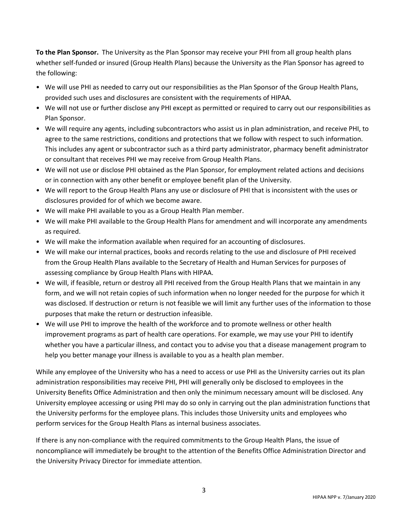**To the Plan Sponsor.** The University as the Plan Sponsor may receive your PHI from all group health plans whether self-funded or insured (Group Health Plans) because the University as the Plan Sponsor has agreed to the following:

- We will use PHI as needed to carry out our responsibilities as the Plan Sponsor of the Group Health Plans, provided such uses and disclosures are consistent with the requirements of HIPAA.
- We will not use or further disclose any PHI except as permitted or required to carry out our responsibilities as Plan Sponsor.
- We will require any agents, including subcontractors who assist us in plan administration, and receive PHI, to agree to the same restrictions, conditions and protections that we follow with respect to such information. This includes any agent or subcontractor such as a third party administrator, pharmacy benefit administrator or consultant that receives PHI we may receive from Group Health Plans.
- We will not use or disclose PHI obtained as the Plan Sponsor, for employment related actions and decisions or in connection with any other benefit or employee benefit plan of the University.
- We will report to the Group Health Plans any use or disclosure of PHI that is inconsistent with the uses or disclosures provided for of which we become aware.
- We will make PHI available to you as a Group Health Plan member.
- We will make PHI available to the Group Health Plans for amendment and will incorporate any amendments as required.
- We will make the information available when required for an accounting of disclosures.
- We will make our internal practices, books and records relating to the use and disclosure of PHI received from the Group Health Plans available to the Secretary of Health and Human Services for purposes of assessing compliance by Group Health Plans with HIPAA.
- We will, if feasible, return or destroy all PHI received from the Group Health Plans that we maintain in any form, and we will not retain copies of such information when no longer needed for the purpose for which it was disclosed. If destruction or return is not feasible we will limit any further uses of the information to those purposes that make the return or destruction infeasible.
- We will use PHI to improve the health of the workforce and to promote wellness or other health improvement programs as part of health care operations. For example, we may use your PHI to identify whether you have a particular illness, and contact you to advise you that a disease management program to help you better manage your illness is available to you as a health plan member.

While any employee of the University who has a need to access or use PHI as the University carries out its plan administration responsibilities may receive PHI, PHI will generally only be disclosed to employees in the University Benefits Office Administration and then only the minimum necessary amount will be disclosed. Any University employee accessing or using PHI may do so only in carrying out the plan administration functions that the University performs for the employee plans. This includes those University units and employees who perform services for the Group Health Plans as internal business associates.

If there is any non-compliance with the required commitments to the Group Health Plans, the issue of noncompliance will immediately be brought to the attention of the Benefits Office Administration Director and the University Privacy Director for immediate attention.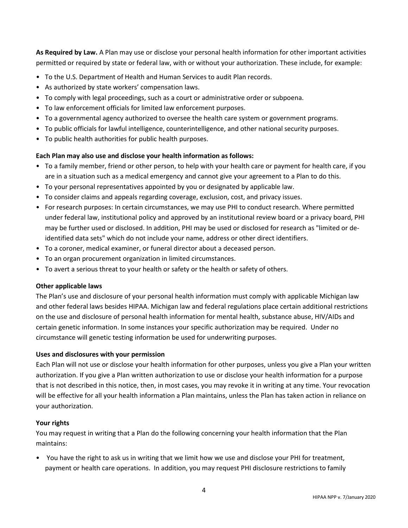**As Required by Law.** A Plan may use or disclose your personal health information for other important activities permitted or required by state or federal law, with or without your authorization. These include, for example:

- To the U.S. Department of Health and Human Services to audit Plan records.
- As authorized by state workers' compensation laws.
- To comply with legal proceedings, such as a court or administrative order or subpoena.
- To law enforcement officials for limited law enforcement purposes.
- To a governmental agency authorized to oversee the health care system or government programs.
- To public officials for lawful intelligence, counterintelligence, and other national security purposes.
- To public health authorities for public health purposes.

### **Each Plan may also use and disclose your health information as follows:**

- To a family member, friend or other person, to help with your health care or payment for health care, if you are in a situation such as a medical emergency and cannot give your agreement to a Plan to do this.
- To your personal representatives appointed by you or designated by applicable law.
- To consider claims and appeals regarding coverage, exclusion, cost, and privacy issues.
- For research purposes: In certain circumstances, we may use PHI to conduct research. Where permitted under federal law, institutional policy and approved by an institutional review board or a privacy board, PHI may be further used or disclosed. In addition, PHI may be used or disclosed for research as "limited or deidentified data sets" which do not include your name, address or other direct identifiers.
- To a coroner, medical examiner, or funeral director about a deceased person.
- To an organ procurement organization in limited circumstances.
- To avert a serious threat to your health or safety or the health or safety of others.

### **Other applicable laws**

The Plan's use and disclosure of your personal health information must comply with applicable Michigan law and other federal laws besides HIPAA. Michigan law and federal regulations place certain additional restrictions on the use and disclosure of personal health information for mental health, substance abuse, HIV/AIDs and certain genetic information. In some instances your specific authorization may be required. Under no circumstance will genetic testing information be used for underwriting purposes.

### **Uses and disclosures with your permission**

Each Plan will not use or disclose your health information for other purposes, unless you give a Plan your written authorization. If you give a Plan written authorization to use or disclose your health information for a purpose that is not described in this notice, then, in most cases, you may revoke it in writing at any time. Your revocation will be effective for all your health information a Plan maintains, unless the Plan has taken action in reliance on your authorization.

### **Your rights**

You may request in writing that a Plan do the following concerning your health information that the Plan maintains:

• You have the right to ask us in writing that we limit how we use and disclose your PHI for treatment, payment or health care operations. In addition, you may request PHI disclosure restrictions to family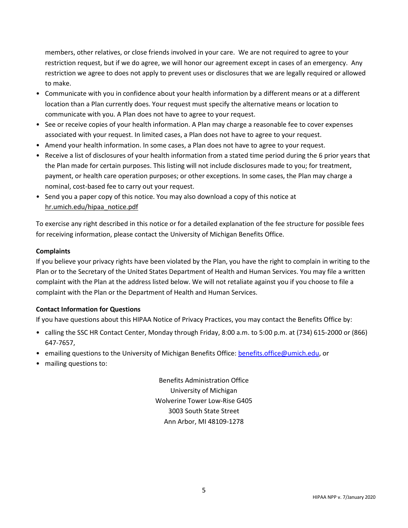members, other relatives, or close friends involved in your care. We are not required to agree to your restriction request, but if we do agree, we will honor our agreement except in cases of an emergency. Any restriction we agree to does not apply to prevent uses or disclosures that we are legally required or allowed to make.

- Communicate with you in confidence about your health information by a different means or at a different location than a Plan currently does. Your request must specify the alternative means or location to communicate with you. A Plan does not have to agree to your request.
- See or receive copies of your health information. A Plan may charge a reasonable fee to cover expenses associated with your request. In limited cases, a Plan does not have to agree to your request.
- Amend your health information. In some cases, a Plan does not have to agree to your request.
- Receive a list of disclosures of your health information from a stated time period during the 6 prior years that the Plan made for certain purposes. This listing will not include disclosures made to you; for treatment, payment, or health care operation purposes; or other exceptions. In some cases, the Plan may charge a nominal, cost-based fee to carry out your request.
- Send you a paper copy of this notice. You may also download a copy of this notice at hr.umich.edu/hipaa\_notice.pdf

To exercise any right described in this notice or for a detailed explanation of the fee structure for possible fees for receiving information, please contact the University of Michigan Benefits Office.

## **Complaints**

If you believe your privacy rights have been violated by the Plan, you have the right to complain in writing to the Plan or to the Secretary of the United States Department of Health and Human Services. You may file a written complaint with the Plan at the address listed below. We will not retaliate against you if you choose to file a complaint with the Plan or the Department of Health and Human Services.

### **Contact Information for Questions**

If you have questions about this HIPAA Notice of Privacy Practices, you may contact the Benefits Office by:

- calling the SSC HR Contact Center, Monday through Friday, 8:00 a.m. to 5:00 p.m. at (734) 615-2000 or (866) 647-7657,
- emailing questions to the University of Michigan Benefits Office: benefits.office@umich.edu, or
- mailing questions to:

Benefits Administration Office University of Michigan Wolverine Tower Low-Rise G405 3003 South State Street Ann Arbor, MI 48109-1278